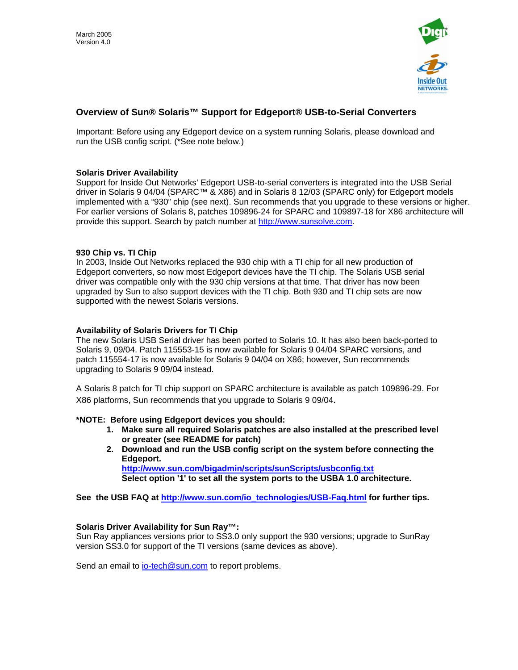

# **Overview of Sun® Solaris™ Support for Edgeport® USB-to-Serial Converters**

Important: Before using any Edgeport device on a system running Solaris, please download and run the USB config script. (\*See note below.)

## **Solaris Driver Availability**

Support for Inside Out Networks' Edgeport USB-to-serial converters is integrated into the USB Serial driver in Solaris 9 04/04 (SPARC™ & X86) and in Solaris 8 12/03 (SPARC only) for Edgeport models implemented with a "930" chip (see next). Sun recommends that you upgrade to these versions or higher. For earlier versions of Solaris 8, patches 109896-24 for SPARC and 109897-18 for X86 architecture will provide this support. Search by patch number at [http://www.sunsolve.com](http://www.sunsolve.com/).

### **930 Chip vs. TI Chip**

In 2003, Inside Out Networks replaced the 930 chip with a TI chip for all new production of Edgeport converters, so now most Edgeport devices have the TI chip. The Solaris USB serial driver was compatible only with the 930 chip versions at that time. That driver has now been upgraded by Sun to also support devices with the TI chip. Both 930 and TI chip sets are now supported with the newest Solaris versions.

## **Availability of Solaris Drivers for TI Chip**

The new Solaris USB Serial driver has been ported to Solaris 10. It has also been back-ported to Solaris 9, 09/04. Patch 115553-15 is now available for Solaris 9 04/04 SPARC versions, and patch 115554-17 is now available for Solaris 9 04/04 on X86; however, Sun recommends upgrading to Solaris 9 09/04 instead.

A Solaris 8 patch for TI chip support on SPARC architecture is available as patch 109896-29. For X86 platforms, Sun recommends that you upgrade to Solaris 9 09/04.

### **\*NOTE: Before using Edgeport devices you should:**

- **1. Make sure all required Solaris patches are also installed at the prescribed level or greater (see README for patch)**
- **2. Download and run the USB config script on the system before connecting the Edgeport. <http://www.sun.com/bigadmin/scripts/sunScripts/usbconfig.txt> Select option '1' to set all the system ports to the USBA 1.0 architecture.**

**See the USB FAQ at [http://www.sun.com/io\\_technologies/USB-Faq.html](http://www.sun.com/io_technologies/USB-Faq.html) for further tips.** 

### **[Solaris Driver Availability for Sun Ray™:](http://www.ionetworks.com/products/edgeport.html)**

Sun Ray appliances versions prior to SS3.0 only support the 930 versions; upgrade to SunRay version SS3.0 for support of the TI versions (same devices as above).

Send an email to [io-tech@sun.com](mailto:io-tech@sun.com) to report problems.